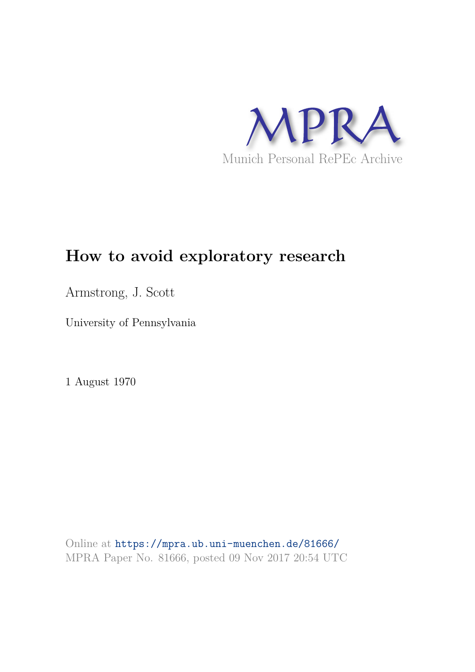

## **How to avoid exploratory research**

Armstrong, J. Scott

University of Pennsylvania

1 August 1970

Online at https://mpra.ub.uni-muenchen.de/81666/ MPRA Paper No. 81666, posted 09 Nov 2017 20:54 UTC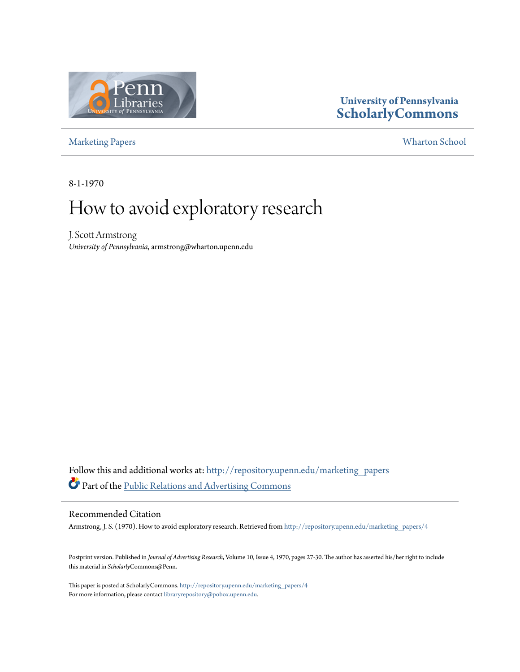

### **University of Pennsylvania ScholarlyCommons**

Marketing Papers Wharton School

8-1-1970

# How to avoid exploratory research

J. Scott Armstrong *University of Pennsylvania*, armstrong@wharton.upenn.edu

Follow this and additional works at: http://repository.upenn.edu/marketing\_papers Part of the Public Relations and Advertising Commons

#### Recommended Citation

Armstrong, J. S. (1970). How to avoid exploratory research. Retrieved from http://repository.upenn.edu/marketing\_papers/4

Postprint version. Published in *Journal of Advertising Research*, Volume 10, Issue 4, 1970, pages 27-30. The author has asserted his/her right to include this material in *Scholarly*Commons@Penn.

This paper is posted at ScholarlyCommons. http://repository.upenn.edu/marketing\_papers/4 For more information, please contact library<br>repository@pobox.upenn.edu. <br> <br> <br>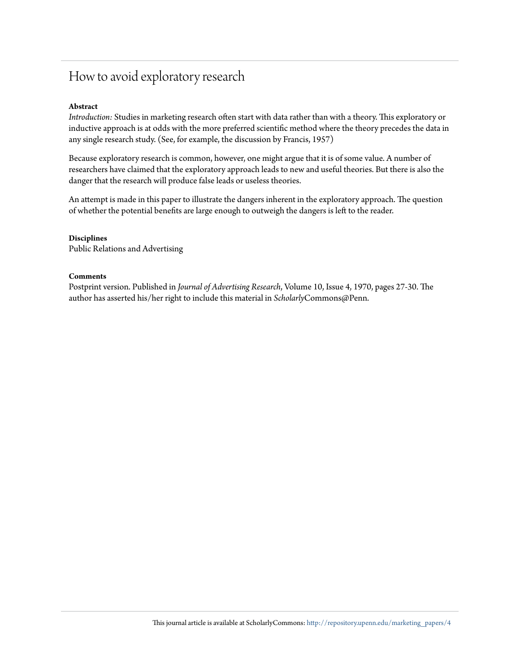### How to avoid exploratory research

#### **Abstract**

*Introduction:* Studies in marketing research often start with data rather than with a theory. This exploratory or inductive approach is at odds with the more preferred scientific method where the theory precedes the data in any single research study. (See, for example, the discussion by Francis, 1957)

Because exploratory research is common, however, one might argue that it is of some value. A number of researchers have claimed that the exploratory approach leads to new and useful theories. But there is also the danger that the research will produce false leads or useless theories.

An attempt is made in this paper to illustrate the dangers inherent in the exploratory approach. The question of whether the potential benefits are large enough to outweigh the dangers is left to the reader.

#### **Disciplines**

Public Relations and Advertising

#### **Comments**

Postprint version. Published in *Journal of Advertising Research*, Volume 10, Issue 4, 1970, pages 27-30. The author has asserted his/her right to include this material in *Scholarly*Commons@Penn.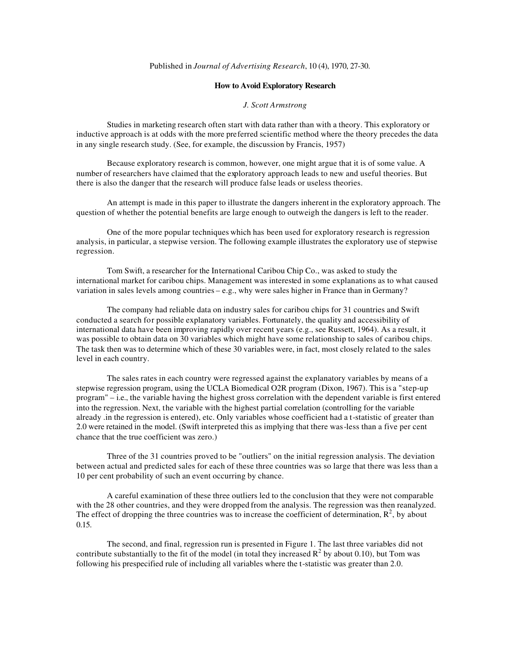#### Published in *Journal of Advertising Research*, 10 (4), 1970, 27-30.

#### **How to Avoid Exploratory Research**

#### *J. Scott Armstrong*

Studies in marketing research often start with data rather than with a theory. This exploratory or inductive approach is at odds with the more preferred scientific method where the theory precedes the data in any single research study. (See, for example, the discussion by Francis, 1957)

Because exploratory research is common, however, one might argue that it is of some value. A number of researchers have claimed that the exploratory approach leads to new and useful theories. But there is also the danger that the research will produce false leads or useless theories.

An attempt is made in this paper to illustrate the dangers inherent in the exploratory approach. The question of whether the potential benefits are large enough to outweigh the dangers is left to the reader.

One of the more popular techniques which has been used for exploratory research is regression analysis, in particular, a stepwise version. The following example illustrates the exploratory use of stepwise regression.

Tom Swift, a researcher for the International Caribou Chip Co., was asked to study the international market for caribou chips. Management was interested in some explanations as to what caused variation in sales levels among countries – e.g., why were sales higher in France than in Germany?

The company had reliable data on industry sales for caribou chips for 31 countries and Swift conducted a search for possible explanatory variables. Fortunately, the quality and accessibility of international data have been improving rapidly over recent years (e.g., see Russett, 1964). As a result, it was possible to obtain data on 30 variables which might have some relationship to sales of caribou chips. The task then was to determine which of these 30 variables were, in fact, most closely related to the sales level in each country.

The sales rates in each country were regressed against the explanatory variables by means of a stepwise regression program, using the UCLA Biomedical O2R program (Dixon, 1967). This is a "step-up program" – i.e., the variable having the highest gross correlation with the dependent variable is first entered into the regression. Next, the variable with the highest partial correlation (controlling for the variable already .in the regression is entered), etc. Only variables whose coefficient had a t-statistic of greater than 2.0 were retained in the model. (Swift interpreted this as implying that there was-less than a five per cent chance that the true coefficient was zero.)

Three of the 31 countries proved to be "outliers" on the initial regression analysis. The deviation between actual and predicted sales for each of these three countries was so large that there was less than a 10 per cent probability of such an event occurring by chance.

A careful examination of these three outliers led to the conclusion that they were not comparable with the 28 other countries, and they were dropped from the analysis. The regression was then reanalyzed. The effect of dropping the three countries was to increase the coefficient of determination,  $\mathbb{R}^2$ , by about 0.15.

The second, and final, regression run is presented in Figure 1. The last three variables did not contribute substantially to the fit of the model (in total they increased  $R^2$  by about 0.10), but Tom was following his prespecified rule of including all variables where the t-statistic was greater than 2.0.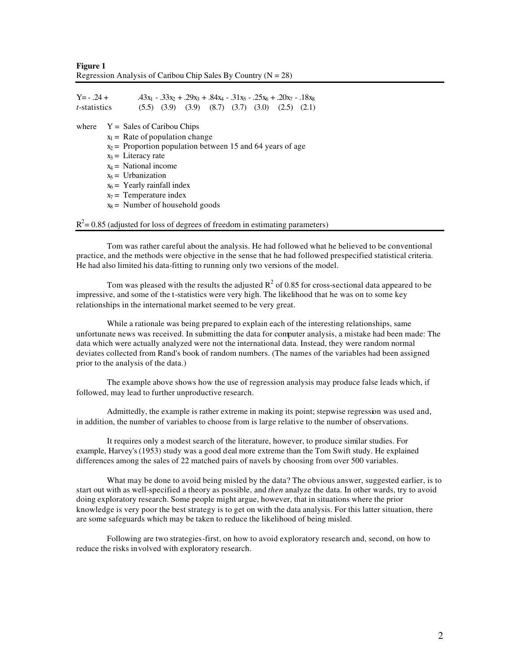**Figure 1** Regression Analysis of Caribou Chip Sales By Country  $(N = 28)$ 

| $Y = -0.24 +$                                                                                                                                                                                  |  |  | .43x <sub>1</sub> - .33x <sub>2</sub> + .29x <sub>3</sub> + .84x <sub>4</sub> - .31x <sub>5</sub> - .25x <sub>6</sub> + .20x <sub>7</sub> - .18x <sub>8</sub> |  |  |  |  |  |
|------------------------------------------------------------------------------------------------------------------------------------------------------------------------------------------------|--|--|---------------------------------------------------------------------------------------------------------------------------------------------------------------|--|--|--|--|--|
| <i>t</i> -statistics                                                                                                                                                                           |  |  | $(5.5)$ $(3.9)$ $(3.9)$ $(8.7)$ $(3.7)$ $(3.0)$ $(2.5)$ $(2.1)$                                                                                               |  |  |  |  |  |
| $Y = Sales of Caribou Chips$<br>where<br>$x_1$ = Rate of population change<br>$x_2$ = Proportion population between 15 and 64 years of age<br>$x_3$ = Literacy rate<br>$x_4$ = National income |  |  |                                                                                                                                                               |  |  |  |  |  |

- $x<sub>5</sub> =$  Urbanization
- $x_6$  = Yearly rainfall index
- $x_7$  = Temperature index
- $x_8$  = Number of household goods

 $R^2$  = 0.85 (adjusted for loss of degrees of freedom in estimating parameters)

Tom was rather careful about the analysis. He had followed what he believed to be conventional practice, and the methods were objective in the sense that he had followed prespecified statistical criteria. He had also limited his data-fitting to running only two versions of the model.

Tom was pleased with the results the adjusted  $R^2$  of 0.85 for cross-sectional data appeared to be impressive, and some of the t-statistics were very high. The likelihood that he was on to some key relationships in the international market seemed to be very great.

While a rationale was being prepared to explain each of the interesting relationships, same unfortunate news was received. In submitting the data for computer analysis, a mistake had been made: The data which were actually analyzed were not the international data. Instead, they were random normal deviates collected from Rand's book of random numbers. (The names of the variables had been assigned prior to the analysis of the data.)

The example above shows how the use of regression analysis may produce false leads which, if followed, may lead to further unproductive research.

Admittedly, the example is rather extreme in making its point; stepwise regression was used and, in addition, the number of variables to choose from is large relative to the number of observations.

It requires only a modest search of the literature, however, to produce similar studies. For example, Harvey's (1953) study was a good deal more extreme than the Tom Swift study. He explained differences among the sales of 22 matched pairs of navels by choosing from over 500 variables.

What may be done to avoid being misled by the data? The obvious answer, suggested earlier, is to start out with as well-specified a theory as possible, and *then* analyze the data. In other wards, try to avoid doing exploratory research. Some people might argue, however, that in situations where the prior knowledge is very poor the best strategy is to get on with the data analysis. For this latter situation, there are some safeguards which may be taken to reduce the likelihood of being misled.

Following are two strategies-first, on how to avoid exploratory research and, second, on how to reduce the risks involved with exploratory research.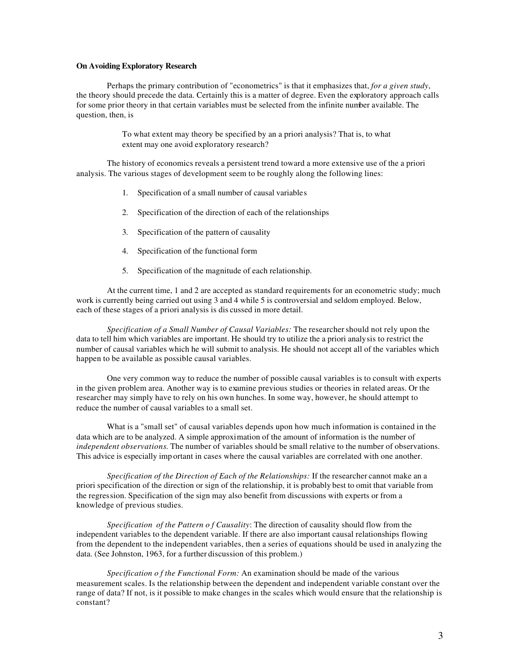#### **On Avoiding Exploratory Research**

Perhaps the primary contribution of "econometrics" is that it emphasizes that, *for a given study*, the theory should precede the data. Certainly this is a matter of degree. Even the exploratory approach calls for some prior theory in that certain variables must be selected from the infinite number available. The question, then, is

> To what extent may theory be specified by an a priori analysis? That is, to what extent may one avoid exploratory research?

The history of economics reveals a persistent trend toward a more extensive use of the a priori analysis. The various stages of development seem to be roughly along the following lines:

- 1. Specification of a small number of causal variables
- 2. Specification of the direction of each of the relationships
- 3. Specification of the pattern of causality
- 4. Specification of the functional form
- 5. Specification of the magnitude of each relationship.

At the current time, 1 and 2 are accepted as standard requirements for an econometric study; much work is currently being carried out using 3 and 4 while 5 is controversial and seldom employed. Below, each of these stages of a priori analysis is dis cussed in more detail.

*Specification of a Small Number of Causal Variables:* The researchershould not rely upon the data to tell him which variables are important. He should try to utilize the a priori analysis to restrict the number of causal variables which he will submit to analysis. He should not accept all of the variables which happen to be available as possible causal variables.

One very common way to reduce the number of possible causal variables is to consult with experts in the given problem area. Another way is to examine previous studies or theories in related areas. Or the researcher may simply have to rely on his own hunches. In some way, however, he should attempt to reduce the number of causal variables to a small set.

What is a "small set" of causal variables depends upon how much information is contained in the data which are to be analyzed. A simple approximation of the amount of information is the number of *independent observations*. The number of variables should be small relative to the number of observations. This advice is especially imp ortant in cases where the causal variables are correlated with one another.

*Specification of the Direction of Each of the Relationships:* If the researcher cannot make an a priori specification of the direction or sign of the relationship, it is probably best to omit that variable from the regression. Specification of the sign may also benefit from discussions with experts or from a knowledge of previous studies.

*Specification of the Pattern o f Causality*: The direction of causality should flow from the independent variables to the dependent variable. If there are also important causal relationships flowing from the dependent to the independent variables, then a series of equations should be used in analyzing the data. (See Johnston, 1963, for a further discussion of this problem.)

*Specification o f the Functional Form:* An examination should be made of the various measurement scales. Is the relationship between the dependent and independent variable constant over the range of data? If not, is it possible to make changes in the scales which would ensure that the relationship is constant?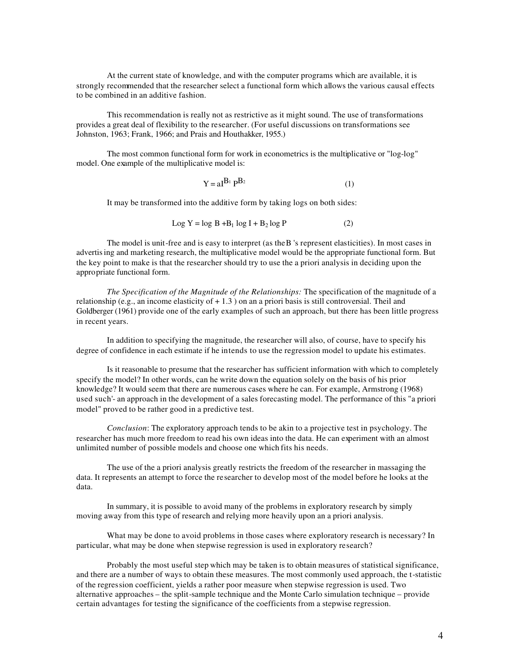At the current state of knowledge, and with the computer programs which are available, it is strongly recommended that the researcher select a functional form which allows the various causal effects to be combined in an additive fashion.

This recommendation is really not as restrictive as it might sound. The use of transformations provides a great deal of flexibility to the researcher. (For useful discussions on transformations see Johnston, 1963; Frank, 1966; and Prais and Houthakker, 1955.)

The most common functional form for work in econometrics is the multiplicative or "log-log" model. One example of the multiplicative model is:

$$
Y = aI^{B_1} P^{B_2}
$$
 (1)

It may be transformed into the additive form by taking logs on both sides:

$$
Log Y = log B + B1 log I + B2 log P
$$
 (2)

The model is unit-free and is easy to interpret (as the B 's represent elasticities). In most cases in advertising and marketing research, the multiplicative model would be the appropriate functional form. But the key point to make is that the researcher should try to use the a priori analysis in deciding upon the appropriate functional form.

*The Specification of the Magnitude of the Relationships:* The specification of the magnitude of a relationship (e.g., an income elasticity of  $+1.3$ ) on an a priori basis is still controversial. Theil and Goldberger (1961) provide one of the early examples of such an approach, but there has been little progress in recent years.

In addition to specifying the magnitude, the researcher will also, of course, have to specify his degree of confidence in each estimate if he intends to use the regression model to update his estimates.

Is it reasonable to presume that the researcher has sufficient information with which to completely specify the model? In other words, can he write down the equation solely on the basis of his prior knowledge? It would seem that there are numerous cases where he can. For example, Armstrong (1968) used such'- an approach in the development of a sales forecasting model. The performance of this "a priori model" proved to be rather good in a predictive test.

*Conclusion*: The exploratory approach tends to be akin to a projective test in psychology. The researcher has much more freedom to read his own ideas into the data. He can experiment with an almost unlimited number of possible models and choose one which fits his needs.

The use of the a priori analysis greatly restricts the freedom of the researcher in massaging the data. It represents an attempt to force the researcher to develop most of the model before he looks at the data.

In summary, it is possible to avoid many of the problems in exploratory research by simply moving away from this type of research and relying more heavily upon an a priori analysis.

What may be done to avoid problems in those cases where exploratory research is necessary? In particular, what may be done when stepwise regression is used in exploratory research?

Probably the most useful step which may be taken is to obtain measures of statistical significance, and there are a number of ways to obtain these measures. The most commonly used approach, the t-statistic of the regression coefficient, yields a rather poor measure when stepwise regression is used. Two alternative approaches – the split-sample technique and the Monte Carlo simulation technique – provide certain advantages for testing the significance of the coefficients from a stepwise regression.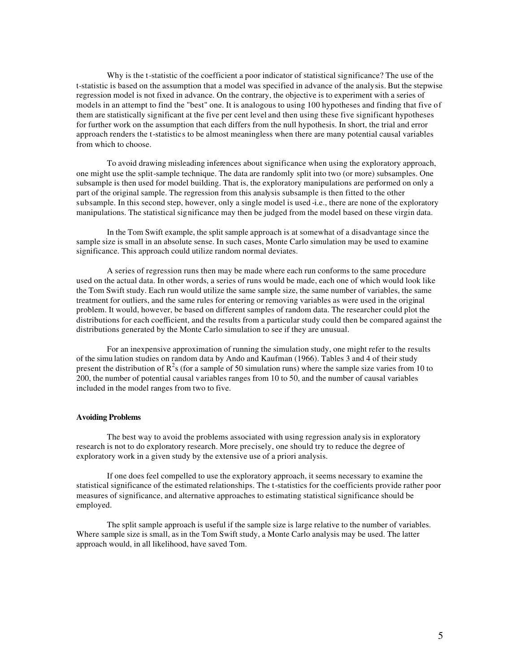Why is the t-statistic of the coefficient a poor indicator of statistical significance? The use of the t-statistic is based on the assumption that a model was specified in advance of the analysis. But the stepwise regression model is not fixed in advance. On the contrary, the objective is to experiment with a series of models in an attempt to find the "best" one. It is analogous to using 100 hypotheses and finding that five of them are statistically significant at the five per cent level and then using these five significant hypotheses for further work on the assumption that each differs from the null hypothesis. In short, the trial and error approach renders the t-statistics to be almost meaningless when there are many potential causal variables from which to choose.

To avoid drawing misleading inferences about significance when using the exploratory approach, one might use the split-sample technique. The data are randomly split into two (or more) subsamples. One subsample is then used for model building. That is, the exploratory manipulations are performed on only a part of the original sample. The regression from this analysis subsample is then fitted to the other subsample. In this second step, however, only a single model is used -i.e., there are none of the exploratory manipulations. The statistical significance may then be judged from the model based on these virgin data.

In the Tom Swift example, the split sample approach is at somewhat of a disadvantage since the sample size is small in an absolute sense. In such cases, Monte Carlo simulation may be used to examine significance. This approach could utilize random normal deviates.

A series of regression runs then may be made where each run conforms to the same procedure used on the actual data. In other words, a series of runs would be made, each one of which would look like the Tom Swift study. Each run would utilize the same sample size, the same number of variables, the same treatment for outliers, and the same rules for entering or removing variables as were used in the original problem. It would, however, be based on different samples of random data. The researcher could plot the distributions for each coefficient, and the results from a particular study could then be compared against the distributions generated by the Monte Carlo simulation to see if they are unusual.

For an inexpensive approximation of running the simulation study, one might refer to the results of the simu lation studies on random data by Ando and Kaufman (1966). Tables 3 and 4 of their study present the distribution of  $R^2$ s (for a sample of 50 simulation runs) where the sample size varies from 10 to 200, the number of potential causal variables ranges from 10 to 50, and the number of causal variables included in the model ranges from two to five.

#### **Avoiding Problems**

The best way to avoid the problems associated with using regression analysis in exploratory research is not to do exploratory research. More precisely, one should try to reduce the degree of exploratory work in a given study by the extensive use of a priori analysis.

If one does feel compelled to use the exploratory approach, it seems necessary to examine the statistical significance of the estimated relationships. The t-statistics for the coefficients provide rather poor measures of significance, and alternative approaches to estimating statistical significance should be employed.

The split sample approach is useful if the sample size is large relative to the number of variables. Where sample size is small, as in the Tom Swift study, a Monte Carlo analysis may be used. The latter approach would, in all likelihood, have saved Tom.